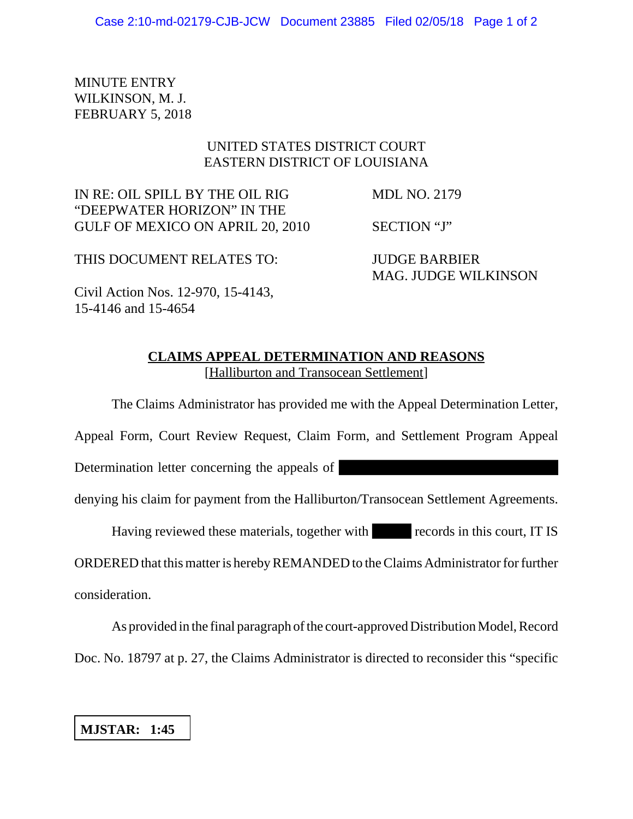MINUTE ENTRY WILKINSON, M. J. FEBRUARY 5, 2018

## UNITED STATES DISTRICT COURT EASTERN DISTRICT OF LOUISIANA

IN RE: OIL SPILL BY THE OIL RIG MDL NO. 2179 "DEEPWATER HORIZON" IN THE GULF OF MEXICO ON APRIL 20, 2010 SECTION "J"

THIS DOCUMENT RELATES TO: JUDGE BARBIER

MAG. JUDGE WILKINSON

Civil Action Nos. 12-970, 15-4143, 15-4146 and 15-4654

## **CLAIMS APPEAL DETERMINATION AND REASONS** [Halliburton and Transocean Settlement]

The Claims Administrator has provided me with the Appeal Determination Letter,

Appeal Form, Court Review Request, Claim Form, and Settlement Program Appeal

Determination letter concerning the appeals of

denying his claim for payment from the Halliburton/Transocean Settlement Agreements.

Having reviewed these materials, together with records in this court, IT IS

ORDERED that this matter is hereby REMANDED to the Claims Administrator for further consideration.

As provided in the final paragraph of the court-approved Distribution Model, Record Doc. No. 18797 at p. 27, the Claims Administrator is directed to reconsider this "specific

## **MJSTAR: 1:45**